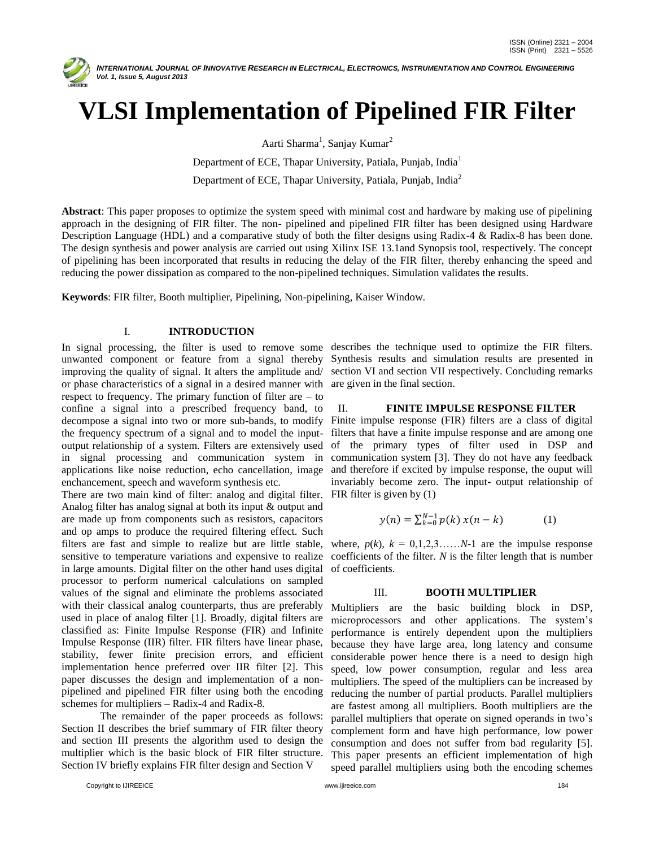

# **VLSI Implementation of Pipelined FIR Filter**

Aarti Sharma<sup>1</sup>, Sanjay Kumar<sup>2</sup>

Department of ECE, Thapar University, Patiala, Punjab, India<sup>1</sup>

Department of ECE, Thapar University, Patiala, Punjab, India<sup>2</sup>

**Abstract**: This paper proposes to optimize the system speed with minimal cost and hardware by making use of pipelining approach in the designing of FIR filter. The non- pipelined and pipelined FIR filter has been designed using Hardware Description Language (HDL) and a comparative study of both the filter designs using Radix-4 & Radix-8 has been done. The design synthesis and power analysis are carried out using Xilinx ISE 13.1and Synopsis tool, respectively. The concept of pipelining has been incorporated that results in reducing the delay of the FIR filter, thereby enhancing the speed and reducing the power dissipation as compared to the non-pipelined techniques. Simulation validates the results.

**Keywords**: FIR filter, Booth multiplier, Pipelining, Non-pipelining, Kaiser Window.

## I. **INTRODUCTION**

In signal processing, the filter is used to remove some describes the technique used to optimize the FIR filters. unwanted component or feature from a signal thereby improving the quality of signal. It alters the amplitude and/ or phase characteristics of a signal in a desired manner with respect to frequency. The primary function of filter are – to confine a signal into a prescribed frequency band, to decompose a signal into two or more sub-bands, to modify Finite impulse response (FIR) filters are a class of digital the frequency spectrum of a signal and to model the inputoutput relationship of a system. Filters are extensively used in signal processing and communication system in applications like noise reduction, echo cancellation, image enchancement, speech and waveform synthesis etc.

There are two main kind of filter: analog and digital filter. Analog filter has analog signal at both its input & output and are made up from components such as resistors, capacitors and op amps to produce the required filtering effect. Such filters are fast and simple to realize but are little stable, sensitive to temperature variations and expensive to realize coefficients of the filter. *N* is the filter length that is number in large amounts. Digital filter on the other hand uses digital processor to perform numerical calculations on sampled values of the signal and eliminate the problems associated with their classical analog counterparts, thus are preferably used in place of analog filter [1]. Broadly, digital filters are classified as: Finite Impulse Response (FIR) and Infinite Impulse Response (IIR) filter. FIR filters have linear phase, stability, fewer finite precision errors, and efficient implementation hence preferred over IIR filter [2]. This paper discusses the design and implementation of a nonpipelined and pipelined FIR filter using both the encoding schemes for multipliers – Radix-4 and Radix-8.

The remainder of the paper proceeds as follows: Section II describes the brief summary of FIR filter theory and section III presents the algorithm used to design the multiplier which is the basic block of FIR filter structure. Section IV briefly explains FIR filter design and Section V

Synthesis results and simulation results are presented in section VI and section VII respectively. Concluding remarks are given in the final section.

### II. **FINITE IMPULSE RESPONSE FILTER**

filters that have a finite impulse response and are among one of the primary types of filter used in DSP and communication system [3]. They do not have any feedback and therefore if excited by impulse response, the ouput will invariably become zero. The input- output relationship of FIR filter is given by (1)

$$
y(n) = \sum_{k=0}^{N-1} p(k) x(n-k)
$$
 (1)

where,  $p(k)$ ,  $k = 0,1,2,3,...$ *N*-1 are the impulse response of coefficients.

#### III. **BOOTH MULTIPLIER**

Multipliers are the basic building block in DSP, microprocessors and other applications. The system's performance is entirely dependent upon the multipliers because they have large area, long latency and consume considerable power hence there is a need to design high speed, low power consumption, regular and less area multipliers. The speed of the multipliers can be increased by reducing the number of partial products. Parallel multipliers are fastest among all multipliers. Booth multipliers are the parallel multipliers that operate on signed operands in two's complement form and have high performance, low power consumption and does not suffer from bad regularity [5]. This paper presents an efficient implementation of high speed parallel multipliers using both the encoding schemes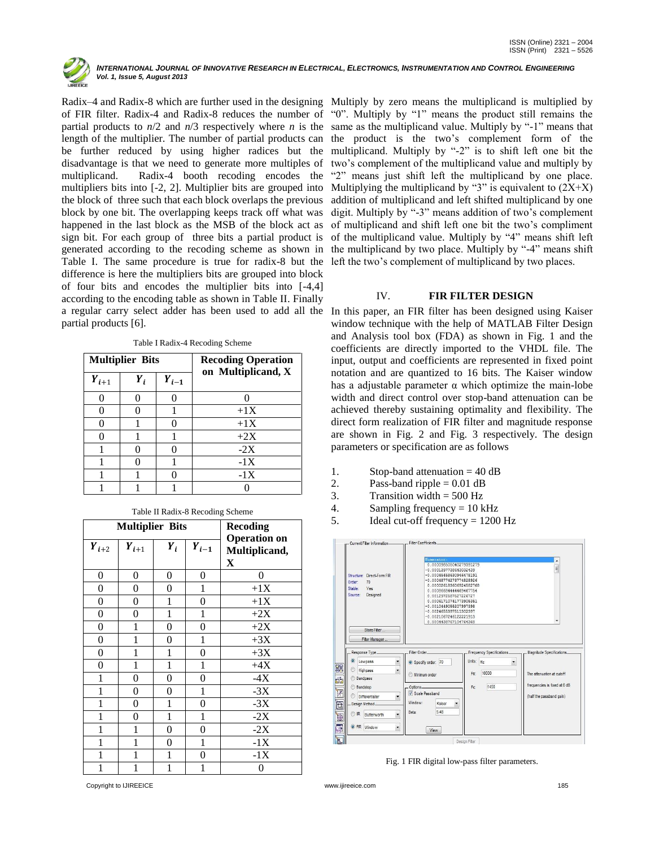

of FIR filter. Radix-4 and Radix-8 reduces the number of "0". Multiply by "1" means the product still remains the partial products to *n*/2 and *n*/3 respectively where *n* is the same as the multiplicand value. Multiply by "-1" means that length of the multiplier. The number of partial products can the product is the two's complement form of the be further reduced by using higher radices but the multiplicand. Multiply by "-2" is to shift left one bit the disadvantage is that we need to generate more multiples of multiplicand. Radix-4 booth recoding encodes the multipliers bits into [-2, 2]. Multiplier bits are grouped into the block of three such that each block overlaps the previous block by one bit. The overlapping keeps track off what was happened in the last block as the MSB of the block act as sign bit. For each group of three bits a partial product is generated according to the recoding scheme as shown in Table I. The same procedure is true for radix-8 but the left the two's complement of multiplicand by two places. difference is here the multipliers bits are grouped into block of four bits and encodes the multiplier bits into [-4,4] according to the encoding table as shown in Table II. Finally a regular carry select adder has been used to add all the In this paper, an FIR filter has been designed using Kaiser partial products [6].

| Table I Radix-4 Recoding Scheme |  |  |
|---------------------------------|--|--|
|---------------------------------|--|--|

| <b>Multiplier Bits</b> |                    |           | <b>Recoding Operation</b> |  |  |  |
|------------------------|--------------------|-----------|---------------------------|--|--|--|
| $Y_{i+1}$              | $\boldsymbol{Y}_i$ | $Y_{i-1}$ | on Multiplicand, X        |  |  |  |
|                        |                    |           |                           |  |  |  |
|                        |                    |           | $+1X$                     |  |  |  |
|                        |                    |           | $+1X$                     |  |  |  |
|                        |                    |           | $+2X$                     |  |  |  |
|                        |                    |           | $-2X$                     |  |  |  |
|                        |                    |           | $-1X$                     |  |  |  |
|                        |                    |           | $-1X$                     |  |  |  |
|                        |                    |           |                           |  |  |  |

| raoic in Radix o Recoding beneme |                        |                                        |                        |                |  |  |  |  |
|----------------------------------|------------------------|----------------------------------------|------------------------|----------------|--|--|--|--|
|                                  | <b>Multiplier Bits</b> | <b>Recoding</b><br><b>Operation on</b> |                        |                |  |  |  |  |
| $\pmb{Y}_{i+2}$                  | $\pmb{Y}_{i+1}$        | $Y_i$                                  | $\boldsymbol{Y}_{i-1}$ | Multiplicand,  |  |  |  |  |
|                                  |                        |                                        |                        | X              |  |  |  |  |
| $\boldsymbol{0}$                 | 0                      | 0                                      | 0                      | $\overline{0}$ |  |  |  |  |
| $\boldsymbol{0}$                 | 0                      | 0                                      | 1                      | $+1X$          |  |  |  |  |
| $\overline{0}$                   | 0                      | 1                                      | $\boldsymbol{0}$       | $+1X$          |  |  |  |  |
| 0                                | 0                      | $\mathbf{1}$                           | $\mathbf{1}$           | $+2X$          |  |  |  |  |
| $\boldsymbol{0}$                 | 1                      | 0                                      | 0                      | $+2X$          |  |  |  |  |
| $\boldsymbol{0}$                 | 1                      | 0                                      | 1                      | $+3X$          |  |  |  |  |
| $\boldsymbol{0}$                 | 1                      | 1                                      | $\boldsymbol{0}$       | $+3X$          |  |  |  |  |
| $\boldsymbol{0}$                 | 1                      | 1                                      | 1                      | $+4X$          |  |  |  |  |
| $\mathbf{1}$                     | $\boldsymbol{0}$       | 0                                      | $\boldsymbol{0}$       | $-4X$          |  |  |  |  |
| $\mathbf{1}$                     | 0                      | 0                                      | 1                      | $-3X$          |  |  |  |  |
| $\mathbf{1}$                     | $\overline{0}$         | 1                                      | $\overline{0}$         | $-3X$          |  |  |  |  |
| $\mathbf{1}$                     | 0                      | $\mathbf{1}$                           | $\mathbf 1$            | $-2X$          |  |  |  |  |
| $\mathbf{1}$                     | 1                      | $\boldsymbol{0}$                       | $\boldsymbol{0}$       | $-2X$          |  |  |  |  |
| 1                                | 1                      | 0                                      | 1                      | $-1X$          |  |  |  |  |
| $\mathbf{1}$                     | 1                      | 1                                      | $\boldsymbol{0}$       | $-1X$          |  |  |  |  |
| $\mathbf 1$                      | 1                      | 1                                      | 1                      | $\mathbf{0}$   |  |  |  |  |

Table II Radix-8 Recoding Scheme

Radix–4 and Radix-8 which are further used in the designing Multiply by zero means the multiplicand is multiplied by two's complement of the multiplicand value and multiply by "2" means just shift left the multiplicand by one place. Multiplying the multiplicand by "3" is equivalent to  $(2X+X)$ addition of multiplicand and left shifted multiplicand by one digit. Multiply by "-3" means addition of two's complement of multiplicand and shift left one bit the two's compliment of the multiplicand value. Multiply by "4" means shift left the multiplicand by two place. Multiply by "-4" means shift

### IV. **FIR FILTER DESIGN**

window technique with the help of MATLAB Filter Design and Analysis tool box (FDA) as shown in Fig. 1 and the coefficients are directly imported to the VHDL file. The input, output and coefficients are represented in fixed point notation and are quantized to 16 bits. The Kaiser window has a adjustable parameter  $\alpha$  which optimize the main-lobe width and direct control over stop-band attenuation can be achieved thereby sustaining optimality and flexibility. The direct form realization of FIR filter and magnitude response are shown in Fig. 2 and Fig. 3 respectively. The design parameters or specification are as follows

- 1. Stop-band attenuation  $= 40$  dB
- 2. Pass-band ripple  $= 0.01$  dB
- 3. Transition width  $= 500$  Hz
- 4. Sampling frequency  $= 10 \text{ kHz}$
- 5. Ideal cut-off frequency = 1200 Hz



Fig. 1 FIR digital low-pass filter parameters.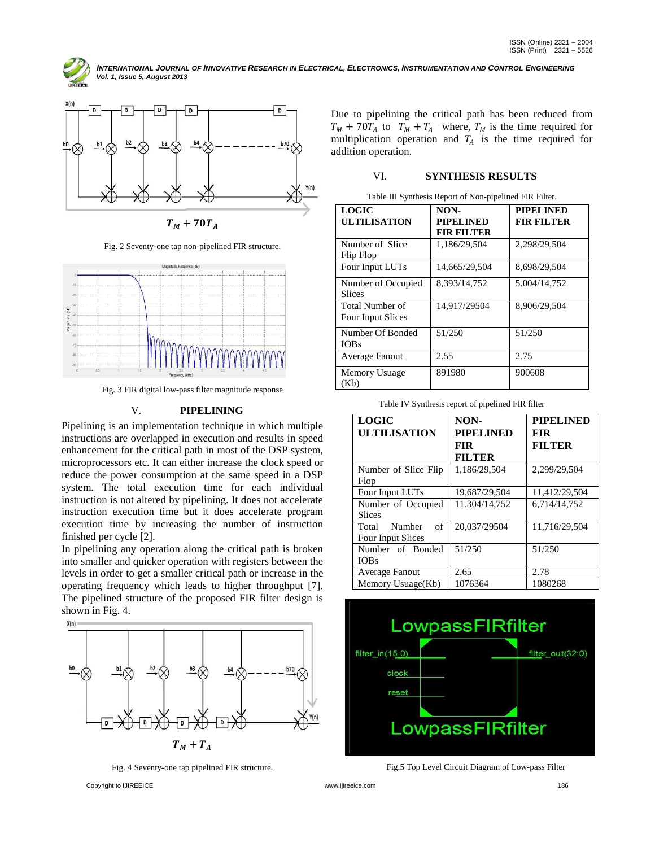



Fig. 2 Seventy-one tap non-pipelined FIR structure.



Fig. 3 FIR digital low-pass filter magnitude response

## V. **PIPELINING**

Pipelining is an implementation technique in which multiple instructions are overlapped in execution and results in speed enhancement for the critical path in most of the DSP system, microprocessors etc. It can either increase the clock speed or reduce the power consumption at the same speed in a DSP system. The total execution time for each individual instruction is not altered by pipelining. It does not accelerate instruction execution time but it does accelerate program execution time by increasing the number of instruction finished per cycle [2].

In pipelining any operation along the critical path is broken into smaller and quicker operation with registers between the levels in order to get a smaller critical path or increase in the operating frequency which leads to higher throughput [7]. The pipelined structure of the proposed FIR filter design is shown in Fig. 4.



Fig. 4 Seventy-one tap pipelined FIR structure.

Due to pipelining the critical path has been reduced from  $T_M + 70 T_A$  to  $T_M + T_A$  where,  $T_M$  is the time required for multiplication operation and  $T_A$  is the time required for addition operation.

## VI. **SYNTHESIS RESULTS**

| <b>LOGIC</b>          | NON-              | <b>PIPELINED</b>  |
|-----------------------|-------------------|-------------------|
| <b>ULTILISATION</b>   | <b>PIPELINED</b>  | <b>FIR FILTER</b> |
|                       | <b>FIR FILTER</b> |                   |
| Number of Slice       | 1,186/29,504      | 2,298/29,504      |
| Flip Flop             |                   |                   |
| Four Input LUTs       | 14,665/29,504     | 8,698/29,504      |
| Number of Occupied    | 8,393/14,752      | 5.004/14,752      |
| <b>Slices</b>         |                   |                   |
| Total Number of       | 14,917/29504      | 8,906/29,504      |
| Four Input Slices     |                   |                   |
| Number Of Bonded      | 51/250            | 51/250            |
| <b>IOBs</b>           |                   |                   |
| <b>Average Fanout</b> | 2.55              | 2.75              |
| Memory Usuage         | 891980            | 900608            |
| (Kb)                  |                   |                   |

Table III Synthesis Report of Non-pipelined FIR Filter.

|  | Table IV Synthesis report of pipelined FIR filter |  |  |  |  |
|--|---------------------------------------------------|--|--|--|--|
|--|---------------------------------------------------|--|--|--|--|

| <b>LOGIC</b><br><b>ULTILISATION</b>        | NON-<br><b>PIPELINED</b><br><b>FIR</b><br><b>FILTER</b> | <b>PIPELINED</b><br><b>FIR</b><br><b>FILTER</b> |  |  |
|--------------------------------------------|---------------------------------------------------------|-------------------------------------------------|--|--|
| Number of Slice Flip<br>Flop               | 1,186/29,504                                            | 2,299/29,504                                    |  |  |
| Four Input LUTs                            | 19,687/29,504                                           | 11,412/29,504                                   |  |  |
| Number of Occupied<br><b>Slices</b>        | 11.304/14,752                                           | 6,714/14,752                                    |  |  |
| of<br>Number<br>Total<br>Four Input Slices | 20,037/29504                                            | 11.716/29.504                                   |  |  |
| Number of Bonded<br><b>IOBs</b>            | 51/250                                                  | 51/250                                          |  |  |
| <b>Average Fanout</b>                      | 2.65                                                    | 2.78                                            |  |  |
| Memory Usuage(Kb)                          | 1076364                                                 | 1080268                                         |  |  |



Fig.5 Top Level Circuit Diagram of Low-pass Filter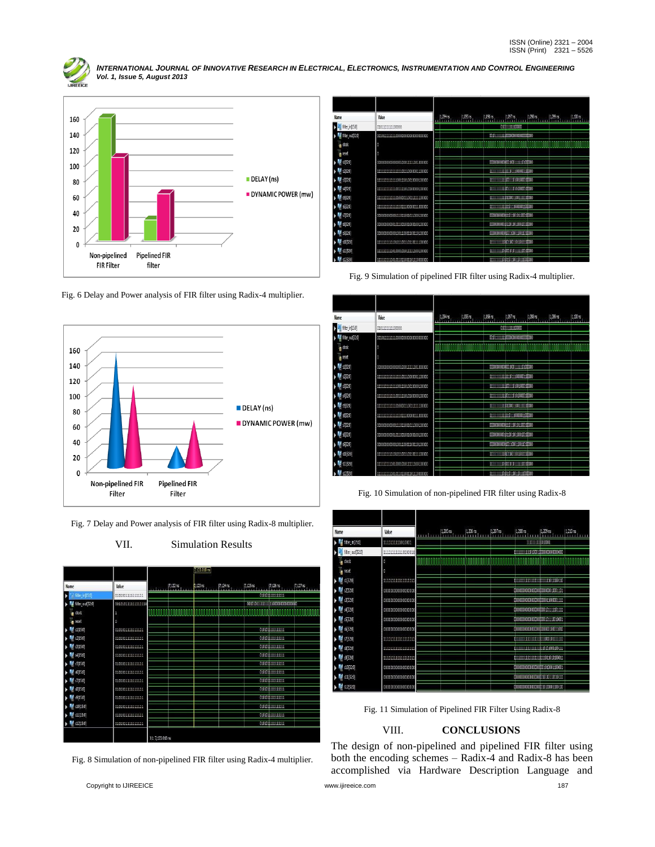



Fig. 6 Delay and Power analysis of FIR filter using Radix-4 multiplier.



Fig. 7 Delay and Power analysis of FIR filter using Radix-8 multiplier.

VII. Simulation Results



Fig. 8 Simulation of non-pipelined FIR filter using Radix-4 multiplier.

| Name                                                                                                                                                                                                                                                                                                                                                                                                                                                                             | Value                               | 1,094 ns | $1,095$ ns | $1,006$ ns | $1,097$ ns                          | $1,098$ ns | 1,099 ns | $1, 100$ ns |
|----------------------------------------------------------------------------------------------------------------------------------------------------------------------------------------------------------------------------------------------------------------------------------------------------------------------------------------------------------------------------------------------------------------------------------------------------------------------------------|-------------------------------------|----------|------------|------------|-------------------------------------|------------|----------|-------------|
| filter_in[15:0]                                                                                                                                                                                                                                                                                                                                                                                                                                                                  | 0101111111100000                    |          |            |            | 0001111111100000                    |            |          |             |
| <b>M</b> filter out 320                                                                                                                                                                                                                                                                                                                                                                                                                                                          | 0010111111110000000000000000000000  |          |            |            | 0010111111110000000000000000000     |            |          |             |
| $\blacksquare$ dock                                                                                                                                                                                                                                                                                                                                                                                                                                                              |                                     |          |            |            |                                     |            |          |             |
| n reset                                                                                                                                                                                                                                                                                                                                                                                                                                                                          | F                                   |          |            |            |                                     |            |          |             |
| <b>M</b> 41,6500                                                                                                                                                                                                                                                                                                                                                                                                                                                                 | 000000000000000000011111101000000   |          |            |            | 00000000000000010001111110100000    |            |          |             |
| $\blacktriangleright$ $\blacktriangleright$ $\blacktriangleright$ $\blacktriangleright$ $\blacktriangleright$ $\blacktriangleright$ $\blacktriangleright$ $\blacktriangleright$ $\blacktriangleright$ $\blacktriangleright$ $\blacktriangleright$ $\blacktriangleright$ $\blacktriangleright$ $\dashv$ $\dashv$ $\dashv$ $\dashv$ $\dashv$ $\dashv$ $\dashv$ $\dashv$ $\dashv$ $\dashv$ $\dashv$ $\dashv$ $\dashv$ $\dashv$ $\dashv$ $\dashv$ $\dashv$ $\dashv$ $\dashv$ $\dash$ | 11111111111111110111000001100000    |          |            |            | 111111111111111101110000001100000   |            |          |             |
| $\blacktriangleright$ $\blacktriangleright$ $\blacktriangleleft$ $[320]$                                                                                                                                                                                                                                                                                                                                                                                                         | 11111111111111000110010000000000000 |          |            |            | 11111111111100111010010000100000    |            |          |             |
| $\blacktriangleright$ $\blacktriangleright$ 4(320)                                                                                                                                                                                                                                                                                                                                                                                                                               | 11111111111100111101010000100000    |          |            |            | 1111111111100111101010000100000     |            |          |             |
| $\blacktriangleright$ $\blacktriangleright$ $\blacktriangleleft$ $\mathbf{5}$ $[320]$                                                                                                                                                                                                                                                                                                                                                                                            | 111111111111010000110011111100000   |          |            |            | 1111111111101000110011111100000     |            |          |             |
| $\triangleright$ $\blacksquare$ 6[320]                                                                                                                                                                                                                                                                                                                                                                                                                                           | 111111111111111011100000011000000   |          |            |            | 11111111111111110111000001100000    |            |          |             |
| $\blacktriangleright$ $\blacktriangleright$ $\blacktriangleright$ $\eta$ 320)                                                                                                                                                                                                                                                                                                                                                                                                    | 000000000000111011001011000100000   |          |            |            | 0000000000000110011001011000100000  |            |          |             |
| $\triangleright$ <b>M</b> $s$ [320]                                                                                                                                                                                                                                                                                                                                                                                                                                              | 00000000001011001001000100100000    |          |            |            | 00000000000000100010001000100100000 |            |          |             |
| $\blacksquare$ 19320                                                                                                                                                                                                                                                                                                                                                                                                                                                             | 600000000000100110001101101000000   |          |            |            | 000000000000000110001100110100000   |            |          |             |
| $\blacktriangleright$ $\blacktriangleright$ stopping                                                                                                                                                                                                                                                                                                                                                                                                                             | 111111111110101100110110111100000   |          |            |            | 111111111110101100110110111100000   |            |          |             |
| $\blacktriangleright$ $\blacktriangleright$ stages                                                                                                                                                                                                                                                                                                                                                                                                                               | 111111111101000101011111100100000   |          |            |            | 111111111101000101011111100100000   |            |          |             |
| $\frac{1}{2}$ $\frac{1}{2}$ $\frac{1}{2}$ $\frac{1}{2}$ $\frac{1}{2}$ $\frac{1}{2}$ $\frac{1}{2}$                                                                                                                                                                                                                                                                                                                                                                                | 111111111101011011001101110000000   |          |            |            | 11111111110101101100110111000000    |            |          |             |

Fig. 9 Simulation of pipelined FIR filter using Radix-4 multiplier.

| Name                                                                                 | Value                              | $ 1,094$ ns<br>$1,095$ ns<br>$1,006$ ns<br>1,097 ns<br>$1,098$ ns<br>$1,099$ ns<br>$1,100$ ns |
|--------------------------------------------------------------------------------------|------------------------------------|-----------------------------------------------------------------------------------------------|
| $\frac{1}{2}$ filter in [15:0]                                                       | 0101111111100000                   | 0001111111100000                                                                              |
| $\blacktriangleright$ <sup>64</sup> filter out 320                                   | 001011111111000000000000000000000  | 00101111111100000000000000000000                                                              |
| $\frac{1}{2}$ dock                                                                   | ø                                  |                                                                                               |
| $\frac{1}{2}$ reset                                                                  | Ò                                  |                                                                                               |
| $\blacktriangleright$ $\blacksquare$ $\blacksquare$                                  | 000000000000000100011111101000000  | 000000000000000000011111101000000                                                             |
| $\blacktriangleright$ $\blacktriangleright$ $\blacktriangleleft$ $\text{sgn}$        | 111111111111111101110000001100000  | 11111111111111111011120020001100200                                                           |
| $\blacktriangleright$ $\blacktriangleright$ $\blacktriangleleft$ $\boxdot$ $\boxdot$ | 1111111111111200111010010000100000 | 111111111111100111010010000100000                                                             |
| $\frac{1}{2}$ $\frac{1}{2}$ $\frac{1}{2}$ $\frac{1}{2}$ $\frac{1}{2}$                | 11111111111100111101010000100000   | 1111111111100111101010000100000                                                               |
| $\blacksquare$ $\blacksquare$                                                        | 111111111111010000110011111100000  | 111111111110100011001111110000                                                                |
| $\blacktriangleright$ <b>M</b> $6320$                                                | 11111111111111101110000011000000   | 11111111111111110111000001100000                                                              |
| $\rightarrow 14.47320$                                                               | 0000000000021101100101100010000    | 000000000000001110110011011000100000                                                          |
| $\blacktriangleright$ $\blacktriangleright$ $\bowtie$ $\bowtie$ $\bowtie$            | 000000000001011001001000100100000  |                                                                                               |
| $\blacksquare$ $\blacksquare$                                                        | 00000000000100110001100110100000   | 00000000000000110001100110100000                                                              |
| $\blacktriangleright$ $\blacksquare$ stopping                                        | 111111111110101100110110111100000  | 111111111110101100110110111100000                                                             |
| $\blacktriangleright$ $\blacksquare$ s11820)                                         | 111111111101000101011111100100000  | 111111111101000101011111100100000                                                             |
| $\blacktriangleright$ $\blacktriangleright$ 4126201                                  | 111111111101011011001101111000000  | 1111111111000110110011011000000                                                               |

Fig. 10 Simulation of non-pipelined FIR filter using Radix-8

| Name                                                    | Value               | <b>TELESTER</b> | $1,205$ ns | $1,206$ ns | $1,207$ ns | $1,208$ ns                          | $1,209$ ns | $1,210$ ns |  |
|---------------------------------------------------------|---------------------|-----------------|------------|------------|------------|-------------------------------------|------------|------------|--|
| filter_in[15:0]                                         | 1111111111010001    |                 |            |            |            | 1111111111010001                    |            |            |  |
| filter_out[320]                                         | 111111111110100010  |                 |            |            |            | 10111111111101000100000000000000000 |            |            |  |
| g dock                                                  | ø                   |                 |            |            |            |                                     |            |            |  |
| l <sub>g</sub> reset                                    | O                   |                 |            |            |            |                                     |            |            |  |
| <b>M</b> s1[320]                                        | 1111111111111111111 |                 |            |            |            | 1011111111111111111111111011100110  |            |            |  |
| $\triangleright$ $\blacksquare$ $(2 320)$               | 00000000000000000   |                 |            |            |            | 0000000000000000000000000000001101  |            |            |  |
| $\frac{1}{2}$ $\frac{1}{2}$ $\frac{1}{2}$ $\frac{1}{2}$ | 00000000000000000   |                 |            |            |            | 00000000000000000000011000001111    |            |            |  |
| $\triangleright$ $\blacksquare$ s4[320]                 | 000000000000000000  |                 |            |            |            | 00000000000000000000001111101111    |            |            |  |
| $\triangleright$ $\blacksquare$ s5[320]                 | 00000000000000000   |                 |            |            |            | 0000000000000000000001110010001     |            |            |  |
| $\triangleright$ $\blacksquare$ \$6[32:0]               | 00000000000000000   |                 |            |            |            | 0000000000000000000000000000011010  |            |            |  |
| $\frac{1}{2}$ $\frac{1}{2}$ $\frac{1}{2}$ $\frac{1}{2}$ | 111111111111111111  |                 |            |            |            | 1011111111111111111111000101111111  |            |            |  |
| $\triangleright$ $\blacksquare$ \$5320)                 |                     |                 |            |            |            | 10111111111111111110101000100111    |            |            |  |
| 6 59 [320]                                              | 11111111111111111   |                 |            |            |            | 1011111111111111111111011010100011  |            |            |  |
| $\frac{1}{2}$ $\frac{10}{20}$                           | 000000000000000000  |                 |            |            |            | 000000000000000000001010001100001   |            |            |  |
| <b>M</b> s11320)                                        | 00000000000000000   |                 |            |            |            | 0000000000000000000110110110111     |            |            |  |
| <b>M</b> s12(32:0)                                      | 00000000000000000   |                 |            |            |            | 000000000000000000001000001100100   |            |            |  |

Fig. 11 Simulation of Pipelined FIR Filter Using Radix-8

# VIII. **CONCLUSIONS**

Copyright to IJIREEICE [www.ijireeice.com](http://www.ijireeice.com/) 187 The design of non-pipelined and pipelined FIR filter using both the encoding schemes – Radix-4 and Radix-8 has been accomplished via Hardware Description Language and